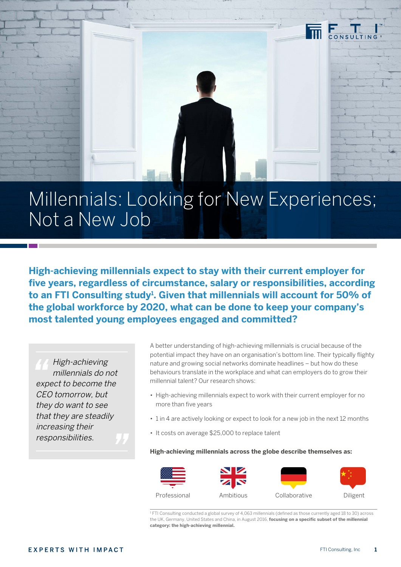

# Millennials: Looking for New Experiences; Not a New Job

**High-achieving millennials expect to stay with their current employer for five years, regardless of circumstance, salary or responsibilities, according to an FTI Consulting study1 . Given that millennials will account for 50% of the global workforce by 2020, what can be done to keep your company's most talented young employees engaged and committed?**

High-achieving millennials do not expect to become the CEO tomorrow, but they do want to see that they are steadily increasing their responsibilities.

A better understanding of high-achieving millennials is crucial because of the potential impact they have on an organisation's bottom line. Their typically flighty nature and growing social networks dominate headlines – but how do these behaviours translate in the workplace and what can employers do to grow their millennial talent? Our research shows:

- High-achieving millennials expect to work with their current employer for no more than five years
- 1 in 4 are actively looking or expect to look for a new job in the next 12 months
- It costs on average \$25,000 to replace talent

#### **High-achieving millennials across the globe describe themselves as:**



1 FTI Consulting conducted a global survey of 4,063 millennials (defined as those currently aged 18 to 30) across the UK, Germany, United States and China, in August 2016, **focusing on a specific subset of the millennial category: the high-achieving millennial.**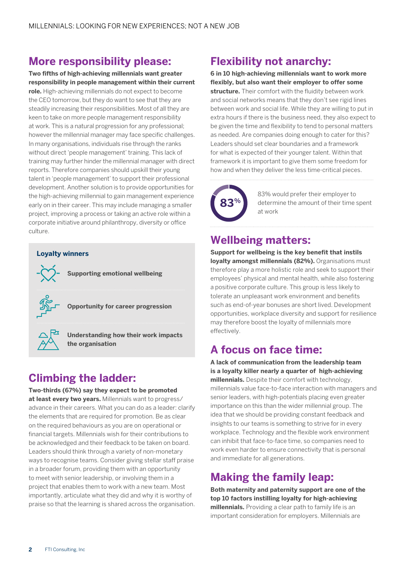### **More responsibility please:**

**Two fifths of high-achieving millennials want greater responsibility in people management within their current role.** High-achieving millennials do not expect to become the CEO tomorrow, but they do want to see that they are steadily increasing their responsibilities. Most of all they are keen to take on more people management responsibility at work. This is a natural progression for any professional; however the millennial manager may face specific challenges. In many organisations, individuals rise through the ranks without direct 'people management' training. This lack of training may further hinder the millennial manager with direct reports. Therefore companies should upskill their young talent in 'people management' to support their professional development. Another solution is to provide opportunities for the high-achieving millennial to gain management experience early on in their career. This may include managing a smaller project, improving a process or taking an active role within a corporate initiative around philanthropy, diversity or office culture.

#### **Loyalty winners**



**Supporting emotional wellbeing** 

**Opportunity for career progression**



**Understanding how their work impacts the organisation**

## **Climbing the ladder:**

**Two-thirds (67%) say they expect to be promoted at least every two years.** Millennials want to progress/ advance in their careers. What you can do as a leader: clarify the elements that are required for promotion. Be as clear on the required behaviours as you are on operational or financial targets. Millennials wish for their contributions to be acknowledged and their feedback to be taken on board. Leaders should think through a variety of non-monetary ways to recognise teams. Consider giving stellar staff praise in a broader forum, providing them with an opportunity to meet with senior leadership, or involving them in a project that enables them to work with a new team. Most importantly, articulate what they did and why it is worthy of praise so that the learning is shared across the organisation.

## **Flexibility not anarchy:**

**6 in 10 high-achieving millennials want to work more flexibly, but also want their employer to offer some structure.** Their comfort with the fluidity between work and social networks means that they don't see rigid lines between work and social life. While they are willing to put in extra hours if there is the business need, they also expect to be given the time and flexibility to tend to personal matters as needed. Are companies doing enough to cater for this? Leaders should set clear boundaries and a framework for what is expected of their younger talent. Within that framework it is important to give them some freedom for how and when they deliver the less time-critical pieces.



83% would prefer their employer to determine the amount of their time spent at work

### **Wellbeing matters:**

**Support for wellbeing is the key benefit that instils loyalty amongst millennials (82%).** Organisations must therefore play a more holistic role and seek to support their employees' physical and mental health, while also fostering a positive corporate culture. This group is less likely to tolerate an unpleasant work environment and benefits such as end-of-year bonuses are short lived. Development opportunities, workplace diversity and support for resilience may therefore boost the loyalty of millennials more effectively.

### **A focus on face time:**

**A lack of communication from the leadership team is a loyalty killer nearly a quarter of high-achieving millennials.** Despite their comfort with technology, millennials value face-to-face interaction with managers and senior leaders, with high-potentials placing even greater importance on this than the wider millennial group. The idea that we should be providing constant feedback and insights to our teams is something to strive for in every workplace. Technology and the flexible work environment can inhibit that face-to-face time, so companies need to work even harder to ensure connectivity that is personal and immediate for all generations.

### **Making the family leap:**

**Both maternity and paternity support are one of the top 10 factors instilling loyalty for high-achieving millennials.** Providing a clear path to family life is an important consideration for employers. Millennials are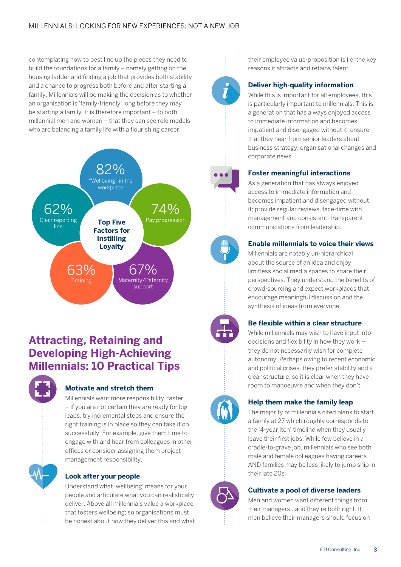contemplating how to best line up the pieces they need to build the foundations for a family – namely getting on the housing ladder and finding a job that provides both stability and a chance to progress both before and after starting a family. Millennials will be making the decision as to whether an organisation is 'family-friendly' long before they may be starting a family. It is therefore important – to both millennial men and women – that they can see role models who are balancing a family life with a flourishing career.



### **Attracting, Retaining and Developing High-Achieving Millennials: 10 Practical Tips**



### **Motivate and stretch them**

Millennials want more responsibility, faster – if you are not certain they are ready for big leaps, try incremental steps and ensure the right training is in place so they can take it on successfully. For example, give them time to engage with and hear from colleagues in other offices or consider assigning them project management responsibility.

#### **Look after your people**

Understand what 'wellbeing' means for your people and articulate what you can realistically deliver. Above all millennials value a workplace that fosters wellbeing; so organisations must be honest about how they deliver this and what their employee value-proposition is i.e. the key reasons it attracts and retains talent.

#### **Deliver high-quality information**

While this is important for all employees, this is particularly important to millennials. This is a generation that has always enjoyed access to immediate information and becomes impatient and disengaged without it; ensure that they hear from senior leaders about business strategy, organisational changes and corporate news.

#### **Foster meaningful interactions**

As a generation that has always enjoyed access to immediate information and becomes impatient and disengaged without it; provide regular reviews, face-time with management and consistent, transparent communications from leadership.

### **Enable millennials to voice their views**

Millennials are notably un-hierarchical about the source of an idea and enjoy limitless social media spaces to share their perspectives. They understand the benefits of crowd-sourcing and expect workplaces that encourage meaningful discussion and the synthesis of ideas from everyone.

#### **Be flexible within a clear structure**

While millennials may wish to have input into decisions and flexibility in how they work – they do not necessarily wish for complete autonomy. Perhaps owing to recent economic and political crises, they prefer stability and a clear structure, so it is clear when they have room to manoeuvre and when they don't.



#### **Help them make the family leap**

The majority of millennials cited plans to start a family at 27 which roughly corresponds to the '4-year itch' timeline when they usually leave their first jobs. While few believe in a cradle-to-grave job, millennials who see both male and female colleagues having careers AND families may be less likely to jump ship in their late 20s.

#### **Cultivate a pool of diverse leaders**

Men and women want different things from their managers…and they're both right. If men believe their managers should focus on